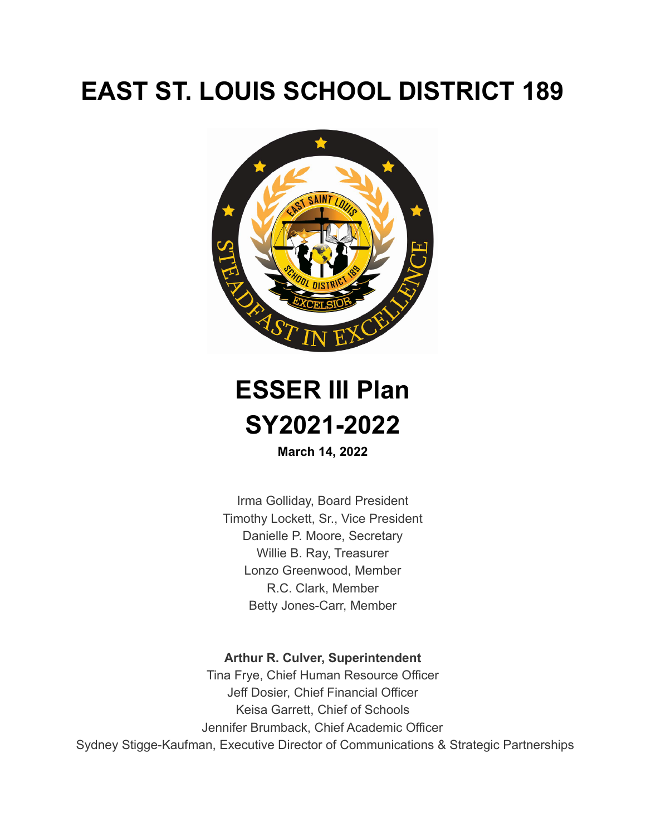# **EAST ST. LOUIS SCHOOL DISTRICT 189**





**March 14, 2022**

Irma Golliday, Board President Timothy Lockett, Sr., Vice President Danielle P. Moore, Secretary Willie B. Ray, Treasurer Lonzo Greenwood, Member R.C. Clark, Member Betty Jones-Carr, Member

#### **Arthur R. Culver, Superintendent**

Tina Frye, Chief Human Resource Officer Jeff Dosier, Chief Financial Officer Keisa Garrett, Chief of Schools Jennifer Brumback, Chief Academic Officer Sydney Stigge-Kaufman, Executive Director of Communications & Strategic Partnerships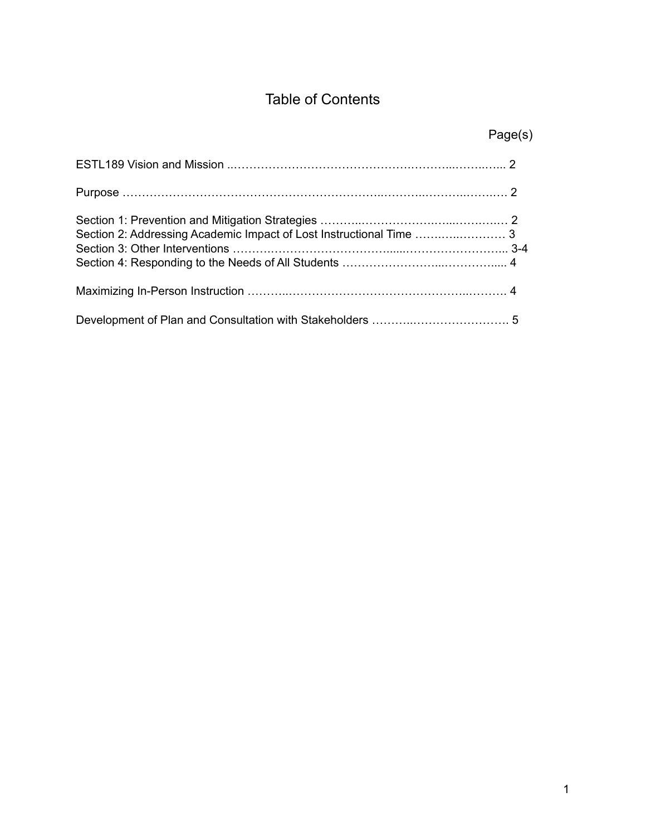# Table of Contents

| Page(s) |
|---------|
|         |
|         |
|         |
|         |
|         |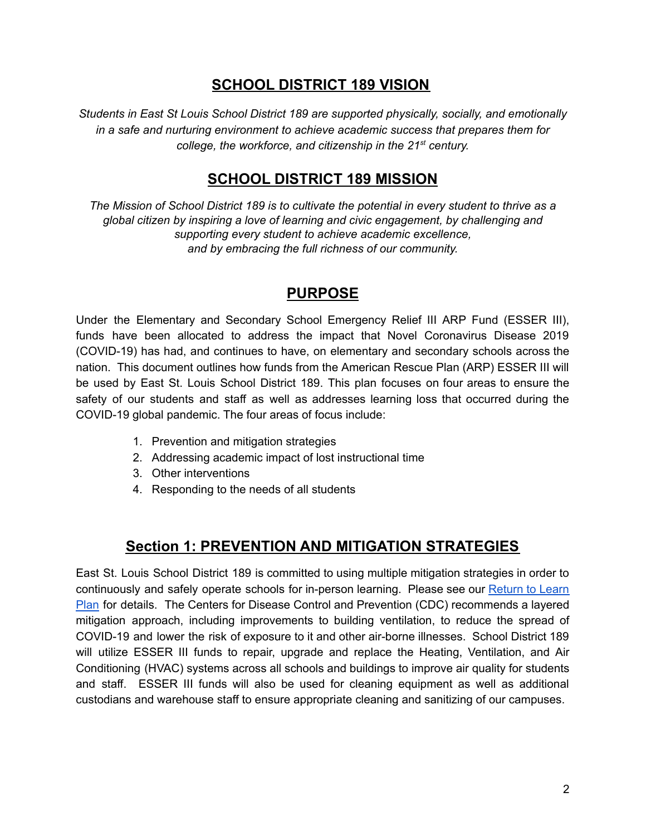## **SCHOOL DISTRICT 189 VISION**

*Students in East St Louis School District 189 are supported physically, socially, and emotionally in a safe and nurturing environment to achieve academic success that prepares them for college, the workforce, and citizenship in the 21 st century.*

## **SCHOOL DISTRICT 189 MISSION**

*The Mission of School District 189 is to cultivate the potential in every student to thrive as a global citizen by inspiring a love of learning and civic engagement, by challenging and supporting every student to achieve academic excellence, and by embracing the full richness of our community.*

### **PURPOSE**

Under the Elementary and Secondary School Emergency Relief III ARP Fund (ESSER III), funds have been allocated to address the impact that Novel Coronavirus Disease 2019 (COVID-19) has had, and continues to have, on elementary and secondary schools across the nation. This document outlines how funds from the American Rescue Plan (ARP) ESSER III will be used by East St. Louis School District 189. This plan focuses on four areas to ensure the safety of our students and staff as well as addresses learning loss that occurred during the COVID-19 global pandemic. The four areas of focus include:

- 1. Prevention and mitigation strategies
- 2. Addressing academic impact of lost instructional time
- 3. Other interventions
- 4. Responding to the needs of all students

## **Section 1: PREVENTION AND MITIGATION STRATEGIES**

East St. Louis School District 189 is committed to using multiple mitigation strategies in order to continuously and safely operate schools for in-person learning. Please see our [Return](https://www.estl189.com/site/default.aspx?PageType=3&DomainID=4&ModuleInstanceID=19&ViewID=6446EE88-D30C-497E-9316-3F8874B3E108&RenderLoc=0&FlexDataID=791&PageID=1) to Learn [Plan](https://www.estl189.com/site/default.aspx?PageType=3&DomainID=4&ModuleInstanceID=19&ViewID=6446EE88-D30C-497E-9316-3F8874B3E108&RenderLoc=0&FlexDataID=791&PageID=1) for details. The Centers for Disease Control and Prevention (CDC) recommends a layered mitigation approach, including improvements to building ventilation, to reduce the spread of COVID-19 and lower the risk of exposure to it and other air-borne illnesses. School District 189 will utilize ESSER III funds to repair, upgrade and replace the Heating, Ventilation, and Air Conditioning (HVAC) systems across all schools and buildings to improve air quality for students and staff. ESSER III funds will also be used for cleaning equipment as well as additional custodians and warehouse staff to ensure appropriate cleaning and sanitizing of our campuses.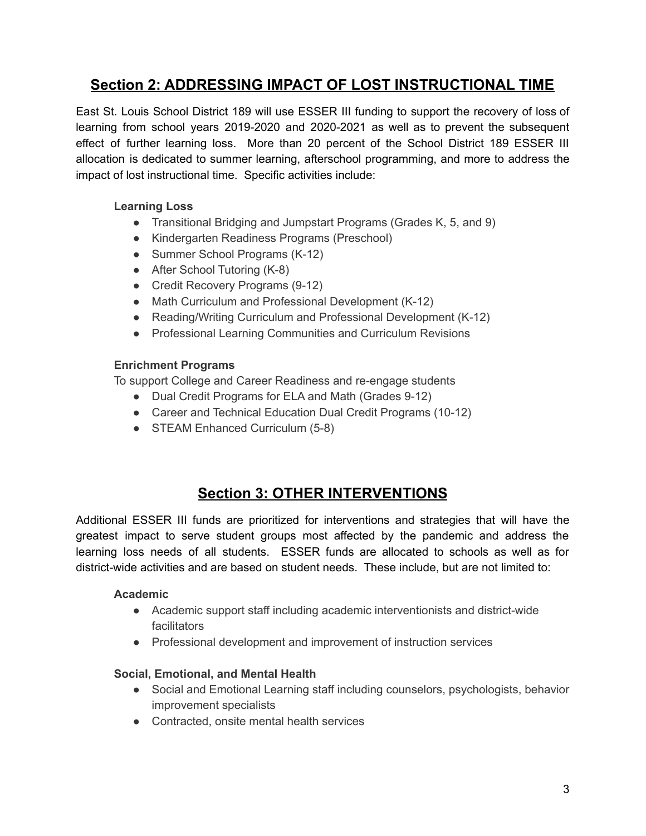# **Section 2: ADDRESSING IMPACT OF LOST INSTRUCTIONAL TIME**

East St. Louis School District 189 will use ESSER III funding to support the recovery of loss of learning from school years 2019-2020 and 2020-2021 as well as to prevent the subsequent effect of further learning loss. More than 20 percent of the School District 189 ESSER III allocation is dedicated to summer learning, afterschool programming, and more to address the impact of lost instructional time. Specific activities include:

#### **Learning Loss**

- Transitional Bridging and Jumpstart Programs (Grades K, 5, and 9)
- Kindergarten Readiness Programs (Preschool)
- Summer School Programs (K-12)
- After School Tutoring (K-8)
- Credit Recovery Programs (9-12)
- Math Curriculum and Professional Development (K-12)
- Reading/Writing Curriculum and Professional Development (K-12)
- Professional Learning Communities and Curriculum Revisions

#### **Enrichment Programs**

To support College and Career Readiness and re-engage students

- Dual Credit Programs for ELA and Math (Grades 9-12)
- Career and Technical Education Dual Credit Programs (10-12)
- STEAM Enhanced Curriculum (5-8)

# **Section 3: OTHER INTERVENTIONS**

Additional ESSER III funds are prioritized for interventions and strategies that will have the greatest impact to serve student groups most affected by the pandemic and address the learning loss needs of all students. ESSER funds are allocated to schools as well as for district-wide activities and are based on student needs. These include, but are not limited to:

#### **Academic**

- Academic support staff including academic interventionists and district-wide facilitators
- Professional development and improvement of instruction services

#### **Social, Emotional, and Mental Health**

- Social and Emotional Learning staff including counselors, psychologists, behavior improvement specialists
- Contracted, onsite mental health services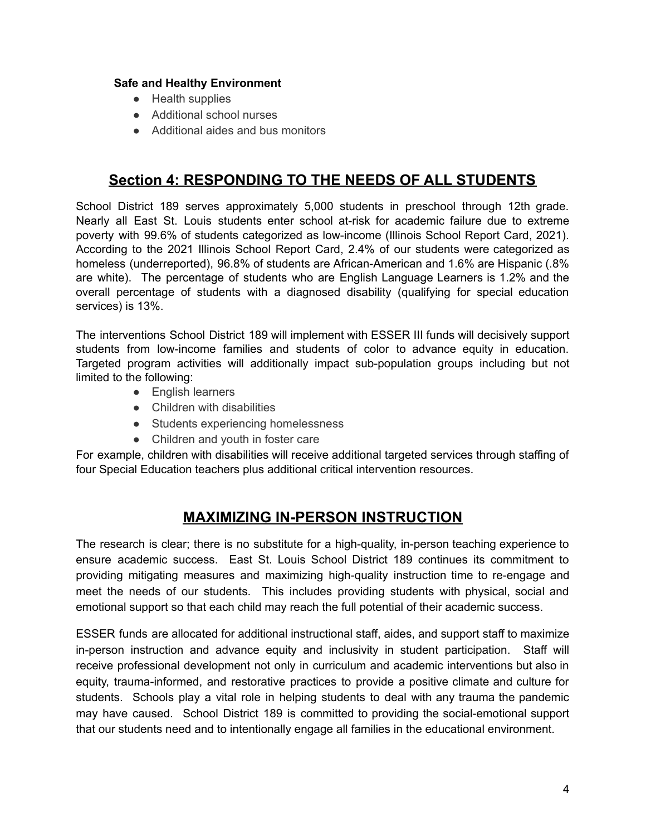#### **Safe and Healthy Environment**

- Health supplies
- Additional school nurses
- Additional aides and bus monitors

## **Section 4: RESPONDING TO THE NEEDS OF ALL STUDENTS**

School District 189 serves approximately 5,000 students in preschool through 12th grade. Nearly all East St. Louis students enter school at-risk for academic failure due to extreme poverty with 99.6% of students categorized as low-income (Illinois School Report Card, 2021). According to the 2021 Illinois School Report Card, 2.4% of our students were categorized as homeless (underreported), 96.8% of students are African-American and 1.6% are Hispanic (.8% are white). The percentage of students who are English Language Learners is 1.2% and the overall percentage of students with a diagnosed disability (qualifying for special education services) is 13%.

The interventions School District 189 will implement with ESSER III funds will decisively support students from low-income families and students of color to advance equity in education. Targeted program activities will additionally impact sub-population groups including but not limited to the following:

- English learners
- Children with disabilities
- Students experiencing homelessness
- Children and youth in foster care

For example, children with disabilities will receive additional targeted services through staffing of four Special Education teachers plus additional critical intervention resources.

# **MAXIMIZING IN-PERSON INSTRUCTION**

The research is clear; there is no substitute for a high-quality, in-person teaching experience to ensure academic success. East St. Louis School District 189 continues its commitment to providing mitigating measures and maximizing high-quality instruction time to re-engage and meet the needs of our students. This includes providing students with physical, social and emotional support so that each child may reach the full potential of their academic success.

ESSER funds are allocated for additional instructional staff, aides, and support staff to maximize in-person instruction and advance equity and inclusivity in student participation. Staff will receive professional development not only in curriculum and academic interventions but also in equity, trauma-informed, and restorative practices to provide a positive climate and culture for students. Schools play a vital role in helping students to deal with any trauma the pandemic may have caused. School District 189 is committed to providing the social-emotional support that our students need and to intentionally engage all families in the educational environment.